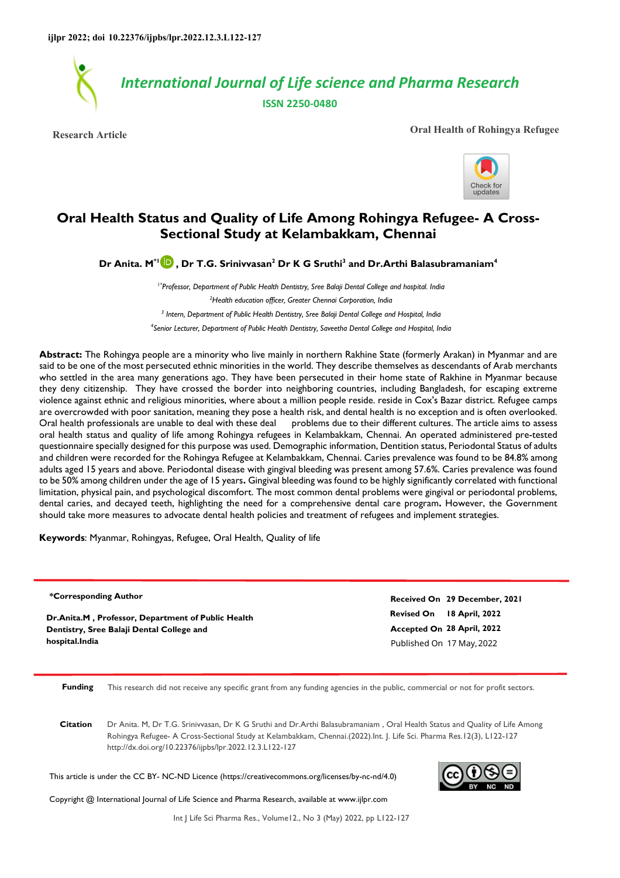

**Research Article Oral Health of Rohingya Refugee**



# **Oral Health Status and Quality of Life Among Rohingya Refugee- A Cross-Sectional Study at Kelambakkam, Chennai**

**Dr Anita. M\*1 , Dr T.G. Srinivvasan<sup>2</sup> Dr K G Sruthi<sup>3</sup> and Dr.Arthi Balasubramaniam<sup>4</sup>**

*1\*Professor, Department of Public Health Dentistry, Sree Balaji Dental College and hospital. India* 

*<sup>2</sup>Health education officer, Greater Chennai Corporation, India* 

*3 Intern, Department of Public Health Dentistry, Sree Balaji Dental College and Hospital, India* 

*4 Senior Lecturer, Department of Public Health Dentistry, Saveetha Dental College and Hospital, India* 

**Abstract:** The Rohingya people are a minority who live mainly in northern Rakhine State (formerly Arakan) in Myanmar and are said to be one of the most persecuted ethnic minorities in the world. They describe themselves as descendants of Arab merchants who settled in the area many generations ago. They have been persecuted in their home state of Rakhine in Myanmar because they deny citizenship. They have crossed the border into neighboring countries, including Bangladesh, for escaping extreme violence against ethnic and religious minorities, where about a million people reside. reside in Cox's Bazar district. Refugee camps are overcrowded with poor sanitation, meaning they pose a health risk, and dental health is no exception and is often overlooked. Oral health professionals are unable to deal with these deal problems due to their different cultures. The article aims to assess oral health status and quality of life among Rohingya refugees in Kelambakkam, Chennai. An operated administered pre-tested questionnaire specially designed for this purpose was used. Demographic information, Dentition status, Periodontal Status of adults and children were recorded for the Rohingya Refugee at Kelambakkam, Chennai. Caries prevalence was found to be 84.8% among adults aged 15 years and above. Periodontal disease with gingival bleeding was present among 57.6%. Caries prevalence was found to be 50% among children under the age of 15 years**.** Gingival bleeding was found to be highly significantly correlated with functional limitation, physical pain, and psychological discomfort. The most common dental problems were gingival or periodontal problems, dental caries, and decayed teeth, highlighting the need for a comprehensive dental care program**.** However, the Government should take more measures to advocate dental health policies and treatment of refugees and implement strategies.

**Keywords**: Myanmar, Rohingyas, Refugee, Oral Health, Quality of life

**\*Corresponding Author**

**Dr.Anita.M , Professor, Department of Public Health Dentistry, Sree Balaji Dental College and hospital.India**

**Revised On 18 April, 2022 Accepted On 28 April, 2022 Received On 29 December, 2021** Published On 17 May,2022

**Funding** This research did not receive any specific grant from any funding agencies in the public, commercial or not for profit sectors.

**Citation** Dr Anita. M, Dr T.G. Srinivvasan, Dr K G Sruthi and Dr.Arthi Balasubramaniam , Oral Health Status and Quality of Life Among Rohingya Refugee- A Cross-Sectional Study at Kelambakkam, Chennai.(2022).Int. J. Life Sci. Pharma Res.12(3), L122-127 http://dx.doi.org/10.22376/ijpbs/lpr.2022.12.3.L122-127

This article is under the CC BY- NC-ND Licence (https://creativecommons.org/licenses/by-nc-nd/4.0)



Copyright @ International Journal of Life Science and Pharma Research, available at www.ijlpr.com

Int J Life Sci Pharma Res., Volume12., No 3 (May) 2022, pp L122-127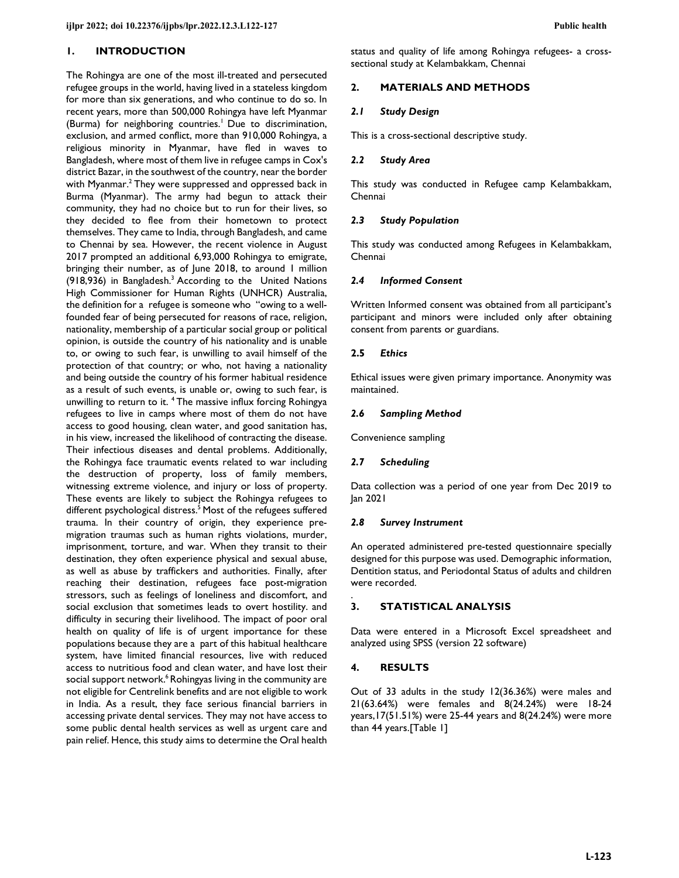### **1. INTRODUCTION**

The Rohingya are one of the most ill-treated and persecuted refugee groups in the world, having lived in a stateless kingdom for more than six generations, and who continue to do so. In recent years, more than 500,000 Rohingya have left Myanmar (Burma) for neighboring countries.<sup>1</sup> Due to discrimination, exclusion, and armed conflict, more than 910,000 Rohingya, a religious minority in Myanmar, have fled in waves to Bangladesh, where most of them live in refugee camps in Cox's district Bazar, in the southwest of the country, near the border with Myanmar.<sup>2</sup> They were suppressed and oppressed back in Burma (Myanmar). The army had begun to attack their community, they had no choice but to run for their lives, so they decided to flee from their hometown to protect themselves. They came to India, through Bangladesh, and came to Chennai by sea. However, the recent violence in August 2017 prompted an additional 6,93,000 Rohingya to emigrate, bringing their number, as of June 2018, to around 1 million (918,936) in Bangladesh.<sup>3</sup> According to the United Nations High Commissioner for Human Rights (UNHCR) Australia, the definition for a refugee is someone who "owing to a wellfounded fear of being persecuted for reasons of race, religion, nationality, membership of a particular social group or political opinion, is outside the country of his nationality and is unable to, or owing to such fear, is unwilling to avail himself of the protection of that country; or who, not having a nationality and being outside the country of his former habitual residence as a result of such events, is unable or, owing to such fear, is unwilling to return to it. <sup>4</sup>The massive influx forcing Rohingya refugees to live in camps where most of them do not have access to good housing, clean water, and good sanitation has, in his view, increased the likelihood of contracting the disease. Their infectious diseases and dental problems. Additionally, the Rohingya face traumatic events related to war including the destruction of property, loss of family members, witnessing extreme violence, and injury or loss of property. These events are likely to subject the Rohingya refugees to different psychological distress.<sup>5</sup> Most of the refugees suffered trauma. In their country of origin, they experience premigration traumas such as human rights violations, murder, imprisonment, torture, and war. When they transit to their destination, they often experience physical and sexual abuse, as well as abuse by traffickers and authorities. Finally, after reaching their destination, refugees face post-migration stressors, such as feelings of loneliness and discomfort, and social exclusion that sometimes leads to overt hostility. and difficulty in securing their livelihood. The impact of poor oral health on quality of life is of urgent importance for these populations because they are a part of this habitual healthcare system, have limited financial resources, live with reduced access to nutritious food and clean water, and have lost their social support network.<sup>6</sup> Rohingyas living in the community are not eligible for Centrelink benefits and are not eligible to work in India. As a result, they face serious financial barriers in accessing private dental services. They may not have access to some public dental health services as well as urgent care and pain relief. Hence, this study aims to determine the Oral health status and quality of life among Rohingya refugees- a crosssectional study at Kelambakkam, Chennai

### **2. MATERIALS AND METHODS**

### *2.1 Study Design*

This is a cross-sectional descriptive study.

#### *2.2 Study Area*

This study was conducted in Refugee camp Kelambakkam, Chennai

#### *2.3 Study Population*

This study was conducted among Refugees in Kelambakkam, Chennai

#### *2.4 Informed Consent*

Written Informed consent was obtained from all participant's participant and minors were included only after obtaining consent from parents or guardians.

#### **2.5** *Ethics*

Ethical issues were given primary importance. Anonymity was maintained.

#### *2.6 Sampling Method*

Convenience sampling

#### *2.7 Scheduling*

Data collection was a period of one year from Dec 2019 to Jan 2021

#### *2.8 Survey Instrument*

An operated administered pre-tested questionnaire specially designed for this purpose was used. Demographic information, Dentition status, and Periodontal Status of adults and children were recorded.

#### . **3. STATISTICAL ANALYSIS**

Data were entered in a Microsoft Excel spreadsheet and analyzed using SPSS (version 22 software)

#### **4. RESULTS**

Out of 33 adults in the study 12(36.36%) were males and 21(63.64%) were females and 8(24.24%) were 18-24 years,17(51.51%) were 25-44 years and 8(24.24%) were more than 44 years.[Table 1]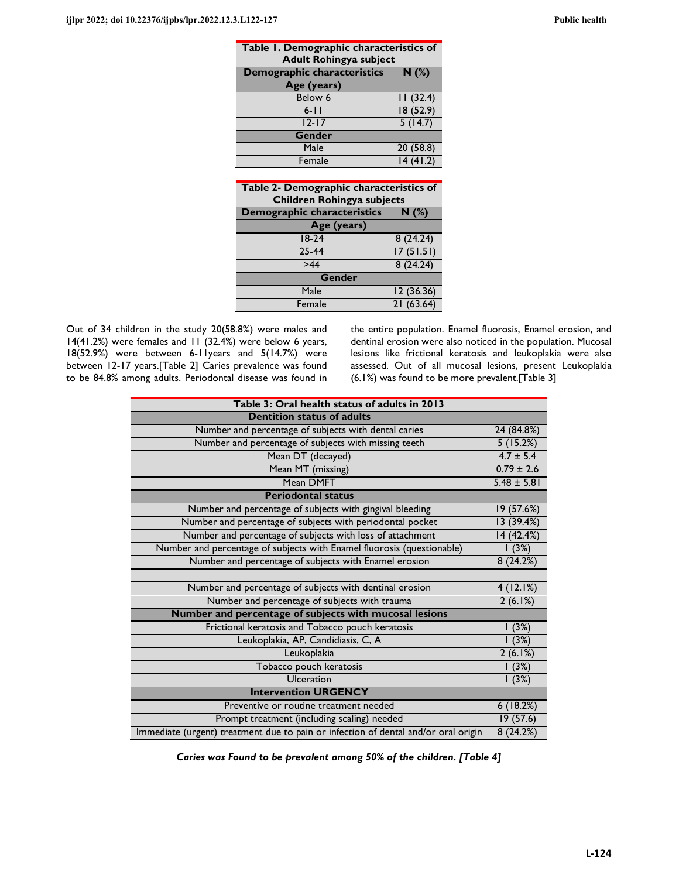| Table 1. Demographic characteristics of<br><b>Adult Rohingya subject</b> |          |  |  |  |
|--------------------------------------------------------------------------|----------|--|--|--|
| Demographic characteristics<br>N(%)                                      |          |  |  |  |
| Age (years)                                                              |          |  |  |  |
| Below 6                                                                  | 11(32.4) |  |  |  |
| $6 - 11$                                                                 | 18(52.9) |  |  |  |
| $12 - 17$                                                                | 5(14.7)  |  |  |  |
| Gender                                                                   |          |  |  |  |
| Male                                                                     | 20(58.8) |  |  |  |
| Female                                                                   | 14(41.2) |  |  |  |

| Table 2- Demographic characteristics of<br><b>Children Rohingya subjects</b> |  |  |  |  |  |
|------------------------------------------------------------------------------|--|--|--|--|--|
| N(%)                                                                         |  |  |  |  |  |
| Age (years)                                                                  |  |  |  |  |  |
| 8(24.24)                                                                     |  |  |  |  |  |
| 17(51.51)                                                                    |  |  |  |  |  |
| 8(24.24)                                                                     |  |  |  |  |  |
| <b>Gender</b>                                                                |  |  |  |  |  |
| 12(36.36)                                                                    |  |  |  |  |  |
| 21(63.64)                                                                    |  |  |  |  |  |
|                                                                              |  |  |  |  |  |

Out of 34 children in the study 20(58.8%) were males and 14(41.2%) were females and 11 (32.4%) were below 6 years, 18(52.9%) were between 6-11years and 5(14.7%) were between 12-17 years.[Table 2] Caries prevalence was found to be 84.8% among adults. Periodontal disease was found in the entire population. Enamel fluorosis, Enamel erosion, and dentinal erosion were also noticed in the population. Mucosal lesions like frictional keratosis and leukoplakia were also assessed. Out of all mucosal lesions, present Leukoplakia (6.1%) was found to be more prevalent.[Table 3]

| Table 3: Oral health status of adults in 2013                                      |                 |
|------------------------------------------------------------------------------------|-----------------|
| <b>Dentition status of adults</b>                                                  |                 |
| Number and percentage of subjects with dental caries                               | 24 (84.8%)      |
| Number and percentage of subjects with missing teeth                               | 5(15.2%)        |
| Mean DT (decayed)                                                                  | $4.7 \pm 5.4$   |
| Mean MT (missing)                                                                  | $0.79 \pm 2.6$  |
| Mean DMFT                                                                          | $5.48 \pm 5.81$ |
| <b>Periodontal status</b>                                                          |                 |
| Number and percentage of subjects with gingival bleeding                           | 19 (57.6%)      |
| Number and percentage of subjects with periodontal pocket                          | 13 (39.4%)      |
| Number and percentage of subjects with loss of attachment                          | 14 (42.4%)      |
| Number and percentage of subjects with Enamel fluorosis (questionable)             | (3%)            |
| Number and percentage of subjects with Enamel erosion                              | 8(24.2%)        |
|                                                                                    |                 |
| Number and percentage of subjects with dentinal erosion                            | 4(12.1%)        |
| Number and percentage of subjects with trauma                                      | 2(6.1%)         |
| Number and percentage of subjects with mucosal lesions                             |                 |
| Frictional keratosis and Tobacco pouch keratosis                                   | (3%)            |
| Leukoplakia, AP, Candidiasis, C, A                                                 | 1(3%)           |
| Leukoplakia                                                                        | 2(6.1%)         |
| Tobacco pouch keratosis                                                            | 1(3%)           |
| <b>Ulceration</b>                                                                  | 1(3%)           |
| <b>Intervention URGENCY</b>                                                        |                 |
| Preventive or routine treatment needed                                             | 6(18.2%)        |
| Prompt treatment (including scaling) needed                                        | 19(57.6)        |
| Immediate (urgent) treatment due to pain or infection of dental and/or oral origin | 8(24.2%)        |

*Caries was Found to be prevalent among 50% of the children. [Table 4]*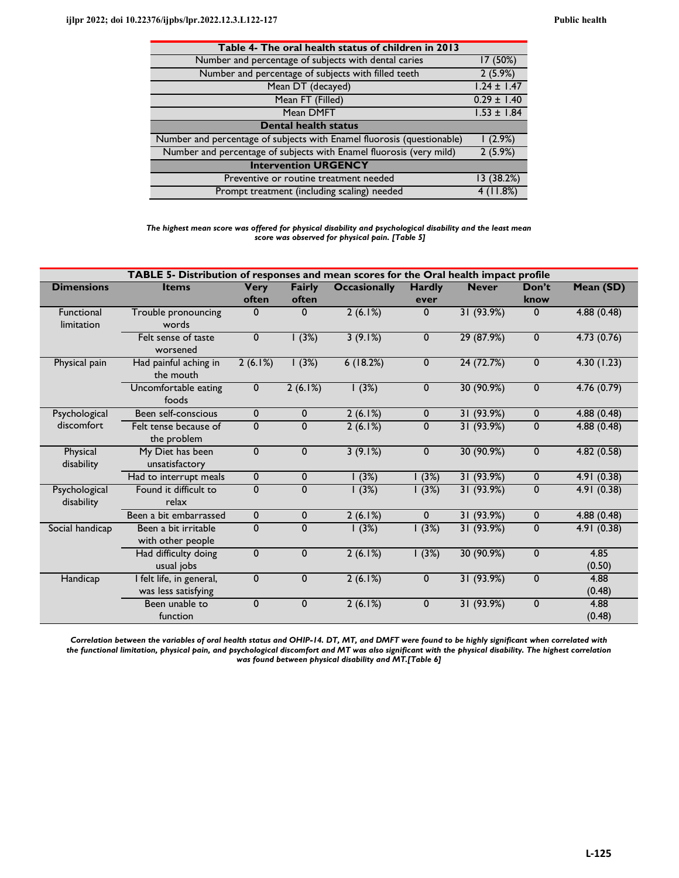| Table 4- The oral health status of children in 2013                    |                 |
|------------------------------------------------------------------------|-----------------|
| Number and percentage of subjects with dental caries                   | 17 (50%)        |
| Number and percentage of subjects with filled teeth                    | 2(5.9%)         |
| Mean DT (decayed)                                                      | $1.24 \pm 1.47$ |
| Mean FT (Filled)                                                       | $0.29 \pm 1.40$ |
| Mean DMFT                                                              | $1.53 \pm 1.84$ |
| <b>Dental health status</b>                                            |                 |
|                                                                        |                 |
| Number and percentage of subjects with Enamel fluorosis (questionable) | $(2.9\%)$       |
| Number and percentage of subjects with Enamel fluorosis (very mild)    | 2(5.9%)         |
| <b>Intervention URGENCY</b>                                            |                 |
| Preventive or routine treatment needed                                 | 13 (38.2%)      |

*The highest mean score was offered for physical disability and psychological disability and the least mean score was observed for physical pain. [Table 5]* 

| TABLE 5- Distribution of responses and mean scores for the Oral health impact profile |                                                 |                      |                        |                     |                       |              |               |                |
|---------------------------------------------------------------------------------------|-------------------------------------------------|----------------------|------------------------|---------------------|-----------------------|--------------|---------------|----------------|
| <b>Dimensions</b>                                                                     | <b>Items</b>                                    | <b>Very</b><br>often | <b>Fairly</b><br>often | <b>Occasionally</b> | <b>Hardly</b><br>ever | <b>Never</b> | Don't<br>know | Mean (SD)      |
| <b>Functional</b><br>limitation                                                       | Trouble pronouncing<br>words                    | $\mathbf 0$          | $\mathbf{0}$           | 2(6.1%)             | $\mathbf{0}$          | 31 (93.9%)   | $\mathbf{0}$  | 4.88(0.48)     |
|                                                                                       | Felt sense of taste<br>worsened                 | 0                    | 1(3%)                  | 3(9.1%)             | $\mathbf{0}$          | 29 (87.9%)   | $\mathbf 0$   | 4.73(0.76)     |
| Physical pain                                                                         | Had painful aching in<br>the mouth              | 2(6.1%)              | 1(3%)                  | 6(18.2%)            | $\mathbf 0$           | 24(72.7%)    | $\mathbf 0$   | 4.30(1.23)     |
|                                                                                       | Uncomfortable eating<br>foods                   | $\mathbf 0$          | 2(6.1%)                | 1(3%)               | $\mathbf 0$           | 30 (90.9%)   | $\mathbf 0$   | 4.76(0.79)     |
| Psychological                                                                         | Been self-conscious                             | $\Omega$             | $\mathbf{0}$           | 2(6.1%)             | $\mathbf 0$           | 31 (93.9%)   | $\mathbf 0$   | 4.88 (0.48)    |
| discomfort                                                                            | Felt tense because of<br>the problem            | 0                    | $\mathbf{0}$           | 2(6.1%)             | $\mathbf 0$           | 31 (93.9%)   | $\mathbf 0$   | 4.88(0.48)     |
| Physical<br>disability                                                                | My Diet has been<br>unsatisfactory              | $\mathbf{0}$         | $\mathbf{0}$           | 3(9.1%)             | $\mathbf 0$           | 30 (90.9%)   | $\mathbf 0$   | 4.82(0.58)     |
|                                                                                       | Had to interrupt meals                          | 0                    | $\mathbf 0$            | 1(3%)               | (3%)                  | 31(93.9%)    | $\mathbf 0$   | 4.91(0.38)     |
| Psychological<br>disability                                                           | Found it difficult to<br>relax                  | $\mathbf{0}$         | $\mathbf{0}$           | 1(3%)               | 1(3%)                 | 31 (93.9%)   | $\mathbf{0}$  | 4.91(0.38)     |
|                                                                                       | Been a bit embarrassed                          | $\mathbf 0$          | $\mathbf 0$            | 2(6.1%)             | $\mathbf{0}$          | 31 (93.9%)   | $\mathbf 0$   | 4.88(0.48)     |
| Social handicap                                                                       | Been a bit irritable<br>with other people       | 0                    | $\mathbf{0}$           | 1(3%)               | 1(3%)                 | 31 (93.9%)   | $\mathbf 0$   | 4.91(0.38)     |
|                                                                                       | Had difficulty doing<br>usual jobs              | $\mathbf{0}$         | $\mathbf{0}$           | 2(6.1%)             | 1(3%)                 | 30 (90.9%)   | $\mathbf{0}$  | 4.85<br>(0.50) |
| Handicap                                                                              | I felt life, in general,<br>was less satisfying | $\mathbf 0$          | $\mathbf{0}$           | 2(6.1%)             | $\mathbf{0}$          | 31 (93.9%)   | $\mathbf{0}$  | 4.88<br>(0.48) |
|                                                                                       | Been unable to<br>function                      | $\mathbf{0}$         | $\mathbf{0}$           | 2(6.1%)             | $\mathbf{0}$          | 31(93.9%)    | $\mathbf{0}$  | 4.88<br>(0.48) |

*Correlation between the variables of oral health status and OHIP-14. DT, MT, and DMFT were found to be highly significant when correlated with the functional limitation, physical pain, and psychological discomfort and MT was also significant with the physical disability. The highest correlation was found between physical disability and MT.[Table 6]*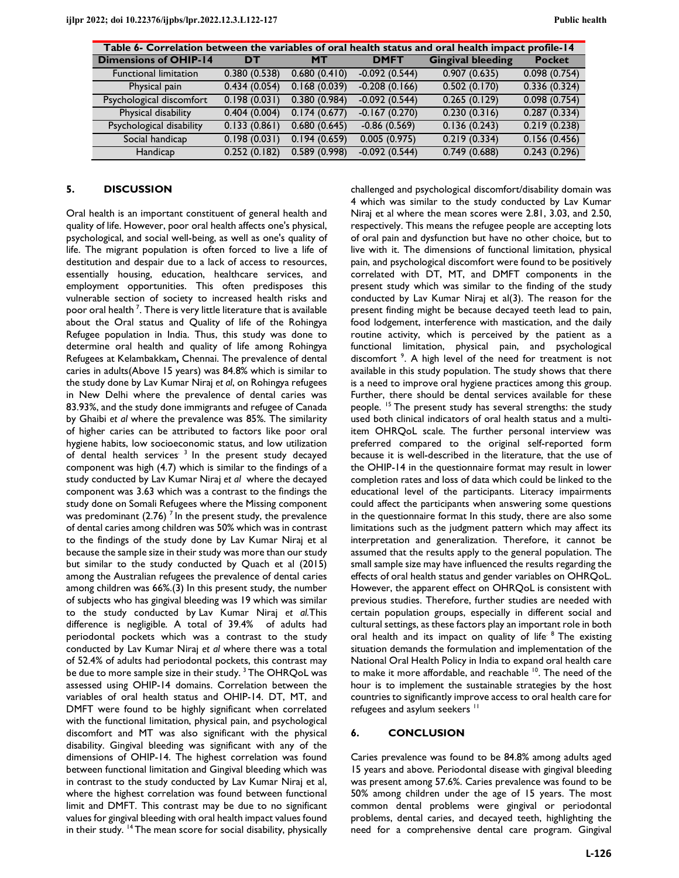| Table 6- Correlation between the variables of oral health status and oral health impact profile-14 |              |              |                 |                          |               |  |
|----------------------------------------------------------------------------------------------------|--------------|--------------|-----------------|--------------------------|---------------|--|
| <b>Dimensions of OHIP-14</b>                                                                       | DT           | <b>MT</b>    | <b>DMFT</b>     | <b>Gingival bleeding</b> | <b>Pocket</b> |  |
| <b>Functional limitation</b>                                                                       | 0.380(0.538) | 0.680(0.410) | $-0.092(0.544)$ | 0.907(0.635)             | 0.098(0.754)  |  |
| Physical pain                                                                                      | 0.434(0.054) | 0.168(0.039) | $-0.208(0.166)$ | 0.502(0.170)             | 0.336(0.324)  |  |
| Psychological discomfort                                                                           | 0.198(0.031) | 0.380(0.984) | $-0.092(0.544)$ | 0.265(0.129)             | 0.098(0.754)  |  |
| Physical disability                                                                                | 0.404(0.004) | 0.174(0.677) | $-0.167(0.270)$ | 0.230(0.316)             | 0.287(0.334)  |  |
| Psychological disability                                                                           | 0.133(0.861) | 0.680(0.645) | $-0.86(0.569)$  | 0.136(0.243)             | 0.219(0.238)  |  |
| Social handicap                                                                                    | 0.198(0.031) | 0.194(0.659) | 0.005(0.975)    | 0.219(0.334)             | 0.156(0.456)  |  |
| Handicap                                                                                           | 0.252(0.182) | 0.589(0.998) | $-0.092(0.544)$ | 0.749(0.688)             | 0.243(0.296)  |  |

#### **5. DISCUSSION**

Oral health is an important constituent of general health and quality of life. However, poor oral health affects one's physical, psychological, and social well-being, as well as one's quality of life. The migrant population is often forced to live a life of destitution and despair due to a lack of access to resources, essentially housing, education, healthcare services, and employment opportunities. This often predisposes this vulnerable section of society to increased health risks and poor oral health  $^7$ . There is very little literature that is available about the Oral status and Quality of life of the Rohingya Refugee population in India. Thus, this study was done to determine oral health and quality of life among Rohingya Refugees at Kelambakkam**,** Chennai. The prevalence of dental caries in adults(Above 15 years) was 84.8% which is similar to the study done by Lav Kumar Niraj *et al*, on Rohingya refugees in New Delhi where the prevalence of dental caries was 83.93%, and the study done immigrants and refugee of Canada by Ghaibi *et al* where the prevalence was 85%. The similarity of higher caries can be attributed to factors like poor oral hygiene habits, low socioeconomic status, and low utilization of dental health services<sup>3</sup> In the present study decayed component was high (4.7) which is similar to the findings of a study conducted by Lav Kumar Niraj *et al* where the decayed component was 3.63 which was a contrast to the findings the study done on Somali Refugees where the Missing component was predominant (2.76)<sup> $7$ </sup> In the present study, the prevalence of dental caries among children was 50% which was in contrast to the findings of the study done by Lav Kumar Niraj et al because the sample size in their study was more than our study but similar to the study conducted by Quach et al (2015) among the Australian refugees the prevalence of dental caries among children was 66%.(3) In this present study, the number of subjects who has gingival bleeding was 19 which was similar to the study conducted by Lav Kumar Niraj *et al.*This difference is negligible. A total of 39.4% of adults had periodontal pockets which was a contrast to the study conducted by Lav Kumar Niraj *et al* where there was a total of 52.4% of adults had periodontal pockets, this contrast may be due to more sample size in their study.<sup>3</sup> The OHRQoL was assessed using OHIP-14 domains. Correlation between the variables of oral health status and OHIP-14. DT, MT, and DMFT were found to be highly significant when correlated with the functional limitation, physical pain, and psychological discomfort and MT was also significant with the physical disability. Gingival bleeding was significant with any of the dimensions of OHIP-14. The highest correlation was found between functional limitation and Gingival bleeding which was in contrast to the study conducted by Lav Kumar Niraj et al, where the highest correlation was found between functional limit and DMFT. This contrast may be due to no significant values for gingival bleeding with oral health impact values found in their study. <sup>14</sup> The mean score for social disability, physically

challenged and psychological discomfort/disability domain was 4 which was similar to the study conducted by Lav Kumar Niraj et al where the mean scores were 2.81, 3.03, and 2.50, respectively. This means the refugee people are accepting lots of oral pain and dysfunction but have no other choice, but to live with it. The dimensions of functional limitation, physical pain, and psychological discomfort were found to be positively correlated with DT, MT, and DMFT components in the present study which was similar to the finding of the study conducted by Lav Kumar Niraj et al(3). The reason for the present finding might be because decayed teeth lead to pain, food lodgement, interference with mastication, and the daily routine activity, which is perceived by the patient as a functional limitation, physical pain, and psychological discomfort<sup>9</sup>. A high level of the need for treatment is not available in this study population. The study shows that there is a need to improve oral hygiene practices among this group. Further, there should be dental services available for these people. <sup>15</sup> The present study has several strengths: the study used both clinical indicators of oral health status and a multiitem OHRQoL scale. The further personal interview was preferred compared to the original self-reported form because it is well-described in the literature, that the use of the OHIP-14 in the questionnaire format may result in lower completion rates and loss of data which could be linked to the educational level of the participants. Literacy impairments could affect the participants when answering some questions in the questionnaire format In this study, there are also some limitations such as the judgment pattern which may affect its interpretation and generalization. Therefore, it cannot be assumed that the results apply to the general population. The small sample size may have influenced the results regarding the effects of oral health status and gender variables on OHRQoL. However, the apparent effect on OHRQoL is consistent with previous studies. Therefore, further studies are needed with certain population groups, especially in different social and cultural settings, as these factors play an important role in both oral health and its impact on quality of life<sup>8</sup> The existing situation demands the formulation and implementation of the National Oral Health Policy in India to expand oral health care to make it more affordable, and reachable <sup>10</sup>. The need of the hour is to implement the sustainable strategies by the host countries to significantly improve access to oral health care for refugees and asylum seekers <sup>11</sup>

#### **6. CONCLUSION**

Caries prevalence was found to be 84.8% among adults aged 15 years and above. Periodontal disease with gingival bleeding was present among 57.6%. Caries prevalence was found to be 50% among children under the age of 15 years. The most common dental problems were gingival or periodontal problems, dental caries, and decayed teeth, highlighting the need for a comprehensive dental care program. Gingival